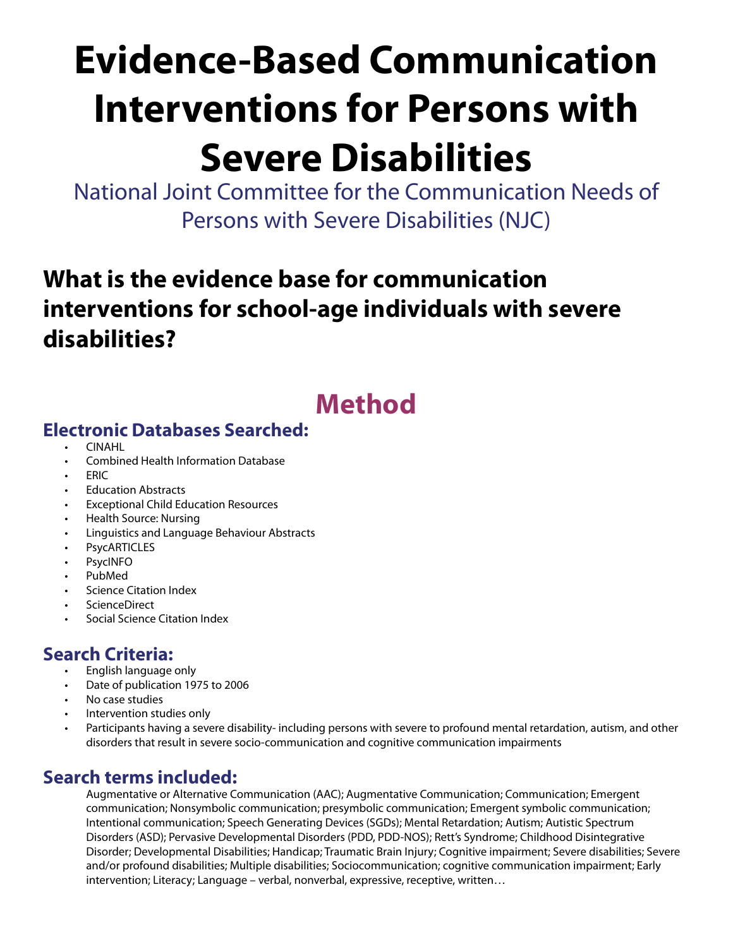# **Evidence-Based Communication Interventions for Persons with**

# **Severe Disabilities**

National Joint Committee for the Communication Needs of Persons with Severe Disabilities (NJC)

## **What is the evidence base for communication interventions for school-age individuals with severe disabilities?**

## **Method**

## **Electronic Databases Searched:**

- CINAHL
- Combined Health Information Database
- ERIC
- Education Abstracts
- Exceptional Child Education Resources
- Health Source: Nursing
- Linguistics and Language Behaviour Abstracts
- **PsycARTICLES**
- **PsycINFO**
- PubMed
- Science Citation Index
- ScienceDirect
- Social Science Citation Index

## **Search Criteria:**

- English language only
- Date of publication 1975 to 2006
- No case studies
- Intervention studies only
- Participants having a severe disability- including persons with severe to profound mental retardation, autism, and other disorders that result in severe socio-communication and cognitive communication impairments

## **Search terms included:**

Augmentative or Alternative Communication (AAC); Augmentative Communication; Communication; Emergent communication; Nonsymbolic communication; presymbolic communication; Emergent symbolic communication; Intentional communication; Speech Generating Devices (SGDs); Mental Retardation; Autism; Autistic Spectrum Disorders (ASD); Pervasive Developmental Disorders (PDD, PDD-NOS); Rett's Syndrome; Childhood Disintegrative Disorder; Developmental Disabilities; Handicap; Traumatic Brain Injury; Cognitive impairment; Severe disabilities; Severe and/or profound disabilities; Multiple disabilities; Sociocommunication; cognitive communication impairment; Early intervention; Literacy; Language – verbal, nonverbal, expressive, receptive, written…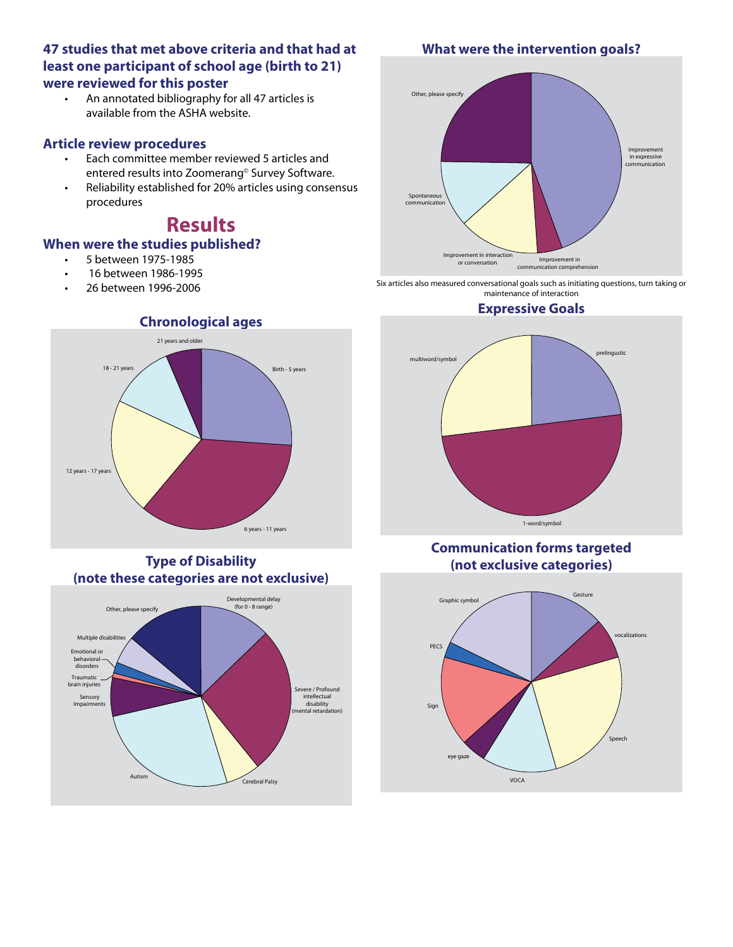#### **47 studies that met above criteria and that had at least one participant of school age (birth to 21) were reviewed for this poster**

• An annotated bibliography for all 47 articles is available from the ASHA website.

#### **Article review procedures**

- Each committee member reviewed 5 articles and entered results into Zoomerang© Survey Software.
- Reliability established for 20% articles using consensus procedures

## **Results**

#### **When were the studies published?**

- 5 between 1975-1985
- 16 between 1986-1995
- 26 between 1996-2006



**Type of Disability (note these categories are not exclusive)**



#### **What were the intervention goals?**



Six articles also measured conversational goals such as initiating questions, turn taking or maintenance of interaction

#### **Expressive Goals**



#### **Communication forms targeted (not exclusive categories)**

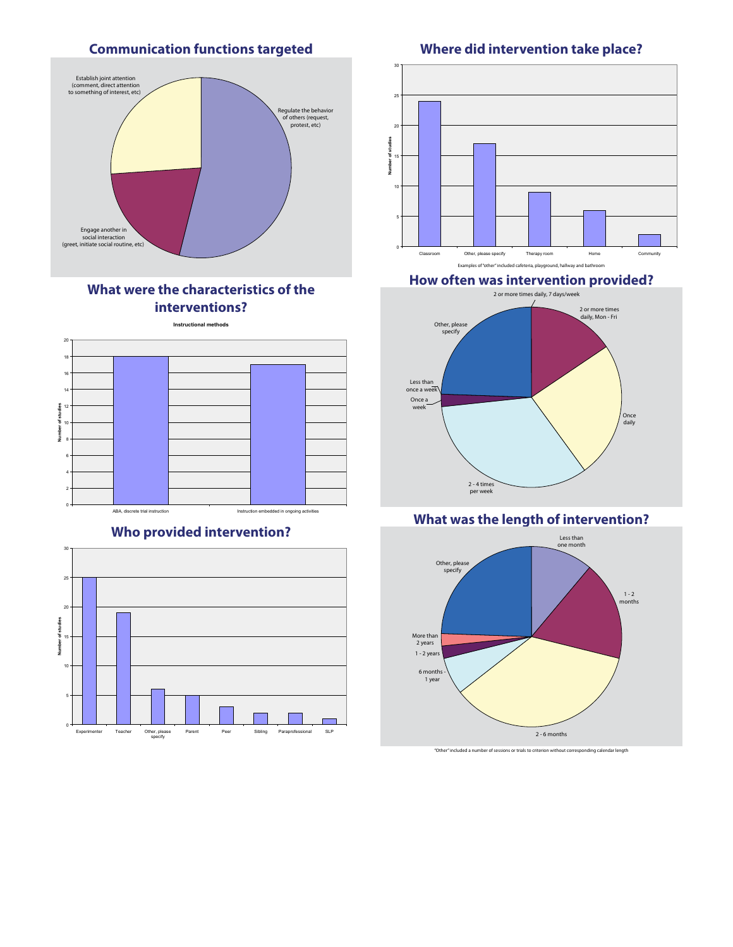#### **Communication functions targeted**



#### **What were the characteristics of the interventions?**

**Instructional methods**



#### **Who provided intervention?**



#### **Where did intervention take place?**



#### **How often was intervention provided?**



#### **What was the length of intervention?**



"Other" included a number of sessions or trials to criterion without corresponding calendar length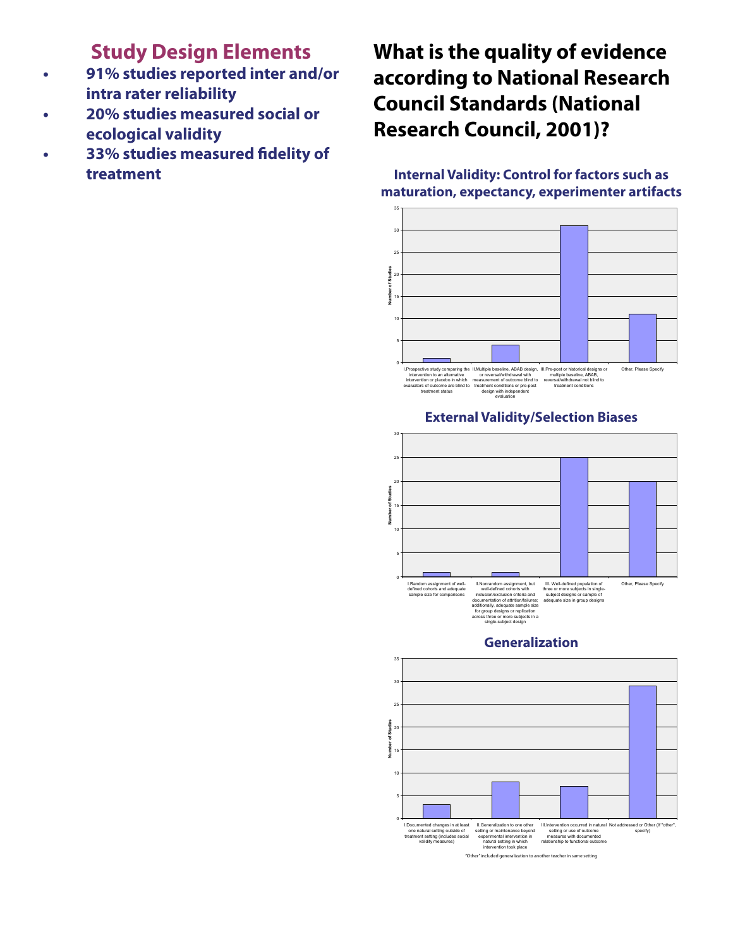## **Study Design Elements**

- **91% studies reported inter and/or intra rater reliability**
- **20% studies measured social or ecological validity**
- **33% studies measured fidelity of treatment**

## **What is the quality of evidence according to National Research Council Standards (National Research Council, 2001)?**

#### **Internal Validity: Control for factors such as maturation, expectancy, experimenter artifacts**



#### **External Validity/Selection Biases**



#### **Generalization**